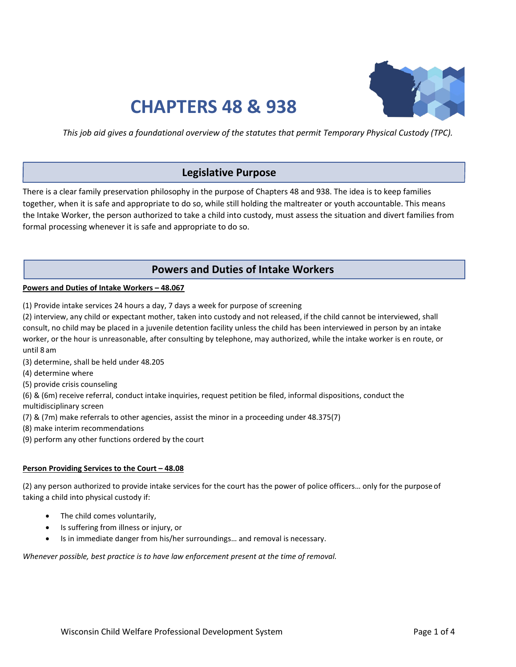

# **CHAPTERS 48 & 938**

*This job aid gives a foundational overview of the statutes that permit Temporary Physical Custody (TPC).*

# **Legislative Purpose**

There is a clear family preservation philosophy in the purpose of Chapters 48 and 938. The idea is to keep families together, when it is safe and appropriate to do so, while still holding the maltreater or youth accountable. This means the Intake Worker, the person authorized to take a child into custody, must assess the situation and divert families from formal processing whenever it is safe and appropriate to do so.

# **Powers and Duties of Intake Workers**

#### **Powers and Duties of Intake Workers – 48.067**

(1) Provide intake services 24 hours a day, 7 days a week for purpose of screening

(2) interview, any child or expectant mother, taken into custody and not released, if the child cannot be interviewed, shall consult, no child may be placed in a juvenile detention facility unless the child has been interviewed in person by an intake worker, or the hour is unreasonable, after consulting by telephone, may authorized, while the intake worker is en route, or until 8 am

- (3) determine, shall be held under 48.205
- (4) determine where
- (5) provide crisis counseling

(6) & (6m) receive referral, conduct intake inquiries, request petition be filed, informal dispositions, conduct the

multidisciplinary screen

(7) & (7m) make referrals to other agencies, assist the minor in a proceeding under 48.375(7)

- (8) make interim recommendations
- (9) perform any other functions ordered by the court

# **Person Providing Services to the Court – 48.08**

(2) any person authorized to provide intake services for the court has the power of police officers… only for the purpose of taking a child into physical custody if:

- The child comes voluntarily,
- Is suffering from illness or injury, or
- Is in immediate danger from his/her surroundings… and removal is necessary.

*Whenever possible, best practice is to have law enforcement present at the time of removal.*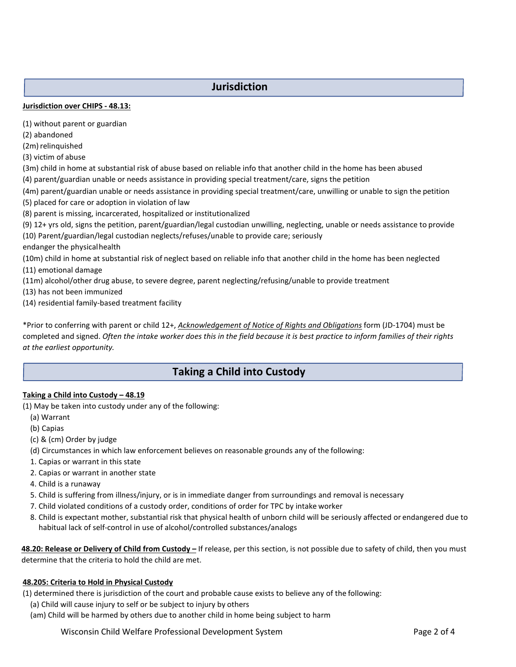# **Jurisdiction**

# **Jurisdiction over CHIPS - 48.13:**

(1) without parent or guardian

(2) abandoned

(2m) relinquished

(3) victim of abuse

(3m) child in home at substantial risk of abuse based on reliable info that another child in the home has been abused (4) parent/guardian unable or needs assistance in providing special treatment/care, signs the petition

(4m) parent/guardian unable or needs assistance in providing special treatment/care, unwilling or unable to sign the petition

- (5) placed for care or adoption in violation of law
- (8) parent is missing, incarcerated, hospitalized or institutionalized

(9) 12+ yrs old, signs the petition, parent/guardian/legal custodian unwilling, neglecting, unable or needs assistance to provide (10) Parent/guardian/legal custodian neglects/refuses/unable to provide care; seriously

endanger the physicalhealth

(10m) child in home at substantial risk of neglect based on reliable info that another child in the home has been neglected (11) emotional damage

(11m) alcohol/other drug abuse, to severe degree, parent neglecting/refusing/unable to provide treatment

(13) has not been immunized

(14) residential family-based treatment facility

\*Prior to conferring with parent or child 12+, *Acknowledgement of Notice of Rights and Obligations* form (JD-1704) must be completed and signed. *Often the intake worker does this in the field because it is best practice to inform families of their rights at the earliest opportunity.*

# **Taking a Child into Custody**

# **Taking a Child into Custody – 48.19**

(1) May be taken into custody under any of the following:

- (a) Warrant
- (b) Capias
- (c) & (cm) Order by judge
- (d) Circumstances in which law enforcement believes on reasonable grounds any of the following:
- 1. Capias or warrant in this state
- 2. Capias or warrant in another state

4. Child is a runaway

- 5. Child is suffering from illness/injury, or is in immediate danger from surroundings and removal is necessary
- 7. Child violated conditions of a custody order, conditions of order for TPC by intake worker
- 8. Child is expectant mother, substantial risk that physical health of unborn child will be seriously affected or endangered due to habitual lack of self-control in use of alcohol/controlled substances/analogs

**48.20: Release or Delivery of Child from Custody –** If release, per this section, is not possible due to safety of child, then you must determine that the criteria to hold the child are met.

# **48.205: Criteria to Hold in Physical Custody**

(1) determined there is jurisdiction of the court and probable cause exists to believe any of the following:

- (a) Child will cause injury to self or be subject to injury by others
- (am) Child will be harmed by others due to another child in home being subject to harm

Wisconsin Child Welfare Professional Development System **Page 2 of 4**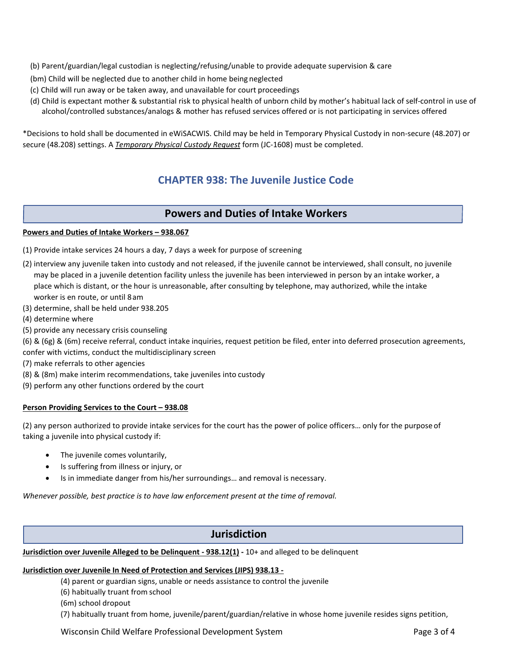(b) Parent/guardian/legal custodian is neglecting/refusing/unable to provide adequate supervision & care

- (bm) Child will be neglected due to another child in home being neglected
- (c) Child will run away or be taken away, and unavailable for court proceedings
- (d) Child is expectant mother & substantial risk to physical health of unborn child by mother's habitual lack of self-control in use of alcohol/controlled substances/analogs & mother has refused services offered or is not participating in services offered

\*Decisions to hold shall be documented in eWiSACWIS. Child may be held in Temporary Physical Custody in non-secure (48.207) or secure (48.208) settings. A *Temporary Physical Custody Request* form (JC-1608) must be completed.

# **CHAPTER 938: The Juvenile Justice Code**

# **Powers and Duties of Intake Workers**

# **Powers and Duties of Intake Workers – 938.067**

- (1) Provide intake services 24 hours a day, 7 days a week for purpose of screening
- (2) interview any juvenile taken into custody and not released, if the juvenile cannot be interviewed, shall consult, no juvenile may be placed in a juvenile detention facility unless the juvenile has been interviewed in person by an intake worker, a place which is distant, or the hour is unreasonable, after consulting by telephone, may authorized, while the intake worker is en route, or until 8am
- (3) determine, shall be held under 938.205
- (4) determine where
- (5) provide any necessary crisis counseling
- (6) & (6g) & (6m) receive referral, conduct intake inquiries, request petition be filed, enter into deferred prosecution agreements, confer with victims, conduct the multidisciplinary screen
- (7) make referrals to other agencies
- (8) & (8m) make interim recommendations, take juveniles into custody
- (9) perform any other functions ordered by the court

# **Person Providing Services to the Court – 938.08**

(2) any person authorized to provide intake services for the court has the power of police officers… only for the purposeof taking a juvenile into physical custody if:

- The juvenile comes voluntarily,
- Is suffering from illness or injury, or
- Is in immediate danger from his/her surroundings… and removal is necessary.

*Whenever possible, best practice is to have law enforcement present at the time of removal.*

# **Jurisdiction**

**Jurisdiction over Juvenile Alleged to be Delinquent - 938.12(1) -** 10+ and alleged to be delinquent

# **Jurisdiction over Juvenile In Need of Protection and Services (JIPS) 938.13 -**

(4) parent or guardian signs, unable or needs assistance to control the juvenile

(6) habitually truant from school

(6m) school dropout

(7) habitually truant from home, juvenile/parent/guardian/relative in whose home juvenile resides signs petition,

Wisconsin Child Welfare Professional Development System **Page 3 of 4** Page 3 of 4